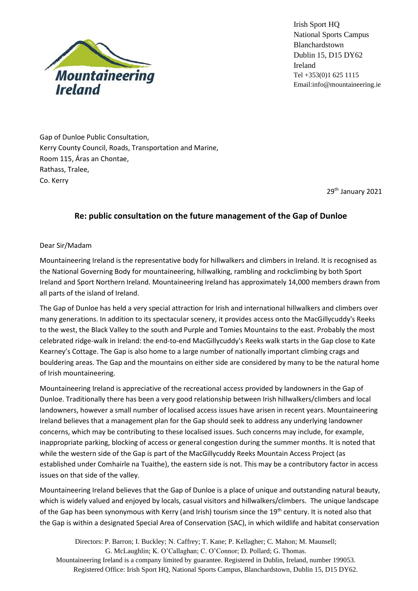

Irish Sport HQ National Sports Campus Blanchardstown Dublin 15, D15 DY62 Ireland Tel +353(0)1 625 1115 Email:info@mountaineering.ie

Gap of Dunloe Public Consultation, Kerry County Council, Roads, Transportation and Marine, Room 115, Áras an Chontae, Rathass, Tralee, Co. Kerry

29<sup>th</sup> January 2021

## **Re: public consultation on the future management of the Gap of Dunloe**

## Dear Sir/Madam

Mountaineering Ireland is the representative body for hillwalkers and climbers in Ireland. It is recognised as the National Governing Body for mountaineering, hillwalking, rambling and rockclimbing by both Sport Ireland and Sport Northern Ireland. Mountaineering Ireland has approximately 14,000 members drawn from all parts of the island of Ireland.

The Gap of Dunloe has held a very special attraction for Irish and international hillwalkers and climbers over many generations. In addition to its spectacular scenery, it provides access onto the MacGillycuddy's Reeks to the west, the Black Valley to the south and Purple and Tomies Mountain*s* to the east. Probably the most celebrated ridge-walk in Ireland: the end-to-end MacGillycuddy's Reeks walk starts in the Gap close to Kate Kearney's Cottage. The Gap is also home to a large number of nationally important climbing crags and bouldering areas. The Gap and the mountains on either side are considered by many to be the natural home of Irish mountaineering.

Mountaineering Ireland is appreciative of the recreational access provided by landowners in the Gap of Dunloe. Traditionally there has been a very good relationship between Irish hillwalkers/climbers and local landowners, however a small number of localised access issues have arisen in recent years. Mountaineering Ireland believes that a management plan for the Gap should seek to address any underlying landowner concerns, which may be contributing to these localised issues. Such concerns may include, for example, inappropriate parking, blocking of access or general congestion during the summer months. It is noted that while the western side of the Gap is part of the MacGillycuddy Reeks Mountain Access Project (as established under Comhairle na Tuaithe), the eastern side is not. This may be a contributory factor in access issues on that side of the valley.

Mountaineering Ireland believes that the Gap of Dunloe is a place of unique and outstanding natural beauty, which is widely valued and enjoyed by locals, casual visitors and hillwalkers/climbers. The unique landscape of the Gap has been synonymous with Kerry (and Irish) tourism since the 19<sup>th</sup> century. It is noted also that the Gap is within a designated Special Area of Conservation (SAC), in which wildlife and habitat conservation

Directors: P. Barron; I. Buckley; N. Caffrey; T. Kane; P. Kellagher; C. Mahon; M. Maunsell; G. McLaughlin; K. O'Callaghan; C. O'Connor; D. Pollard; G. Thomas. Mountaineering Ireland is a company limited by guarantee. Registered in Dublin, Ireland, number 199053. Registered Office: Irish Sport HQ, National Sports Campus, Blanchardstown, Dublin 15, D15 DY62.